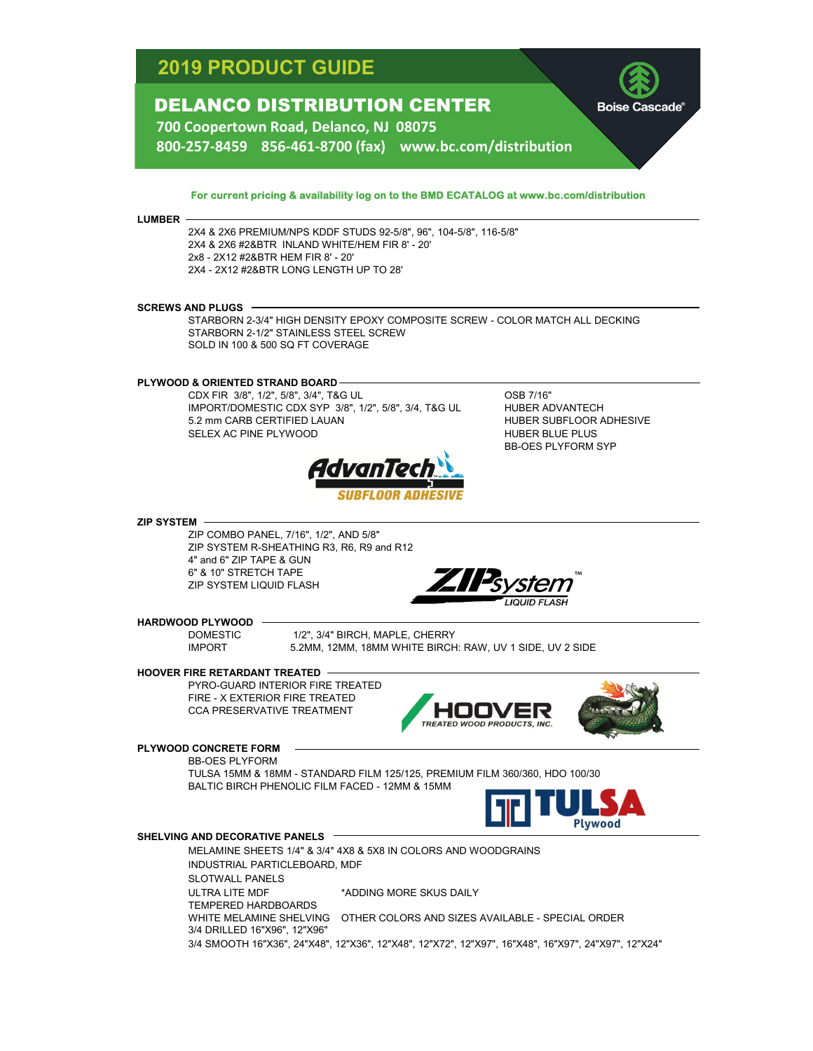# **2019 PRODUCT GUIDE**

## DELANCO DISTRIBUTION CENTER

**Boise Cascade** 

**700 Coopertown Road, Delanco, NJ 08075 800‐257‐8459 856‐461‐8700 (fax) www.bc.com/distribution**

### **For current pricing & availability log on to the BMD ECATALOG at www.bc.com/distribution**

#### **LUMBER**

2X4 & 2X6 PREMIUM/NPS KDDF STUDS 92-5/8", 96", 104-5/8", 116-5/8" 2X4 & 2X6 #2&BTR INLAND WHITE/HEM FIR 8' - 20' 2x8 - 2X12 #2&BTR HEM FIR 8' - 20' 2X4 - 2X12 #2&BTR LONG LENGTH UP TO 28'

#### **SCREWS AND PLUGS**

STARBORN 2-3/4" HIGH DENSITY EPOXY COMPOSITE SCREW - COLOR MATCH ALL DECKING STARBORN 2-1/2" STAINLESS STEEL SCREW SOLD IN 100 & 500 SQ FT COVERAGE

## **PLYWOOD & ORIENTED STRAND BOARD**

CDX FIR 3/8", 1/2", 5/8", 3/4", T&G UL OSB 7/16" 5.2 mm CARB CERTIFIED LAUAN HUBER SUBFLOOR ADHESIVE SELEX AC PINE PLYWOOD **SELEX AC PINE PLYWOOD** IMPORT/DOMESTIC CDX SYP 3/8", 1/2", 5/8", 3/4, T&G UL



#### **ZIP SYSTEM**

ZIP COMBO PANEL, 7/16", 1/2", AND 5/8" 4" and 6" ZIP TAPE & GUN 6" & 10" STRETCH TAPE ZIP SYSTEM LIQUID FLASH ZIP SYSTEM R-SHEATHING R3, R6, R9 and R12



HUBER ADVANTECH

BB-OES PLYFORM SYP

#### **HARDWOOD PLYWOOD**

DOMESTIC 1/2", 3/4" BIRCH, MAPLE, CHERRY IMPORT 5.2MM, 12MM, 18MM WHITE BIRCH: RAW, UV 1 SIDE, UV 2 SIDE

## **HOOVER FIRE RETARDANT TREATED**

PYRO-GUARD INTERIOR FIRE TREATED FIRE - X EXTERIOR FIRE TREATED CCA PRESERVATIVE TREATMENT





## **PLYWOOD CONCRETE FORM**

BB-OES PLYFORM TULSA 15MM & 18MM - STANDARD FILM 125/125, PREMIUM FILM 360/360, HDO 100/30 BALTIC BIRCH PHENOLIC FILM FACED - 12MM & 15MM



#### **SHELVING AND DECORATIVE PANELS**

MELAMINE SHEETS 1/4" & 3/4" 4X8 & 5X8 IN COLORS AND WOODGRAINS INDUSTRIAL PARTICLEBOARD, MDF SLOTWALL PANELS ULTRA LITE MDF \*\* ADDING MORE SKUS DAILY TEMPERED HARDBOARDS WHITE MELAMINE SHELVING OTHER COLORS AND SIZES AVAILABLE - SPECIAL ORDER 3/4 DRILLED 16"X96", 12"X96" 3/4 SMOOTH 16"X36", 24"X48", 12"X36", 12"X48", 12"X72", 12"X97", 16"X48", 16"X97", 24"X97", 12"X24"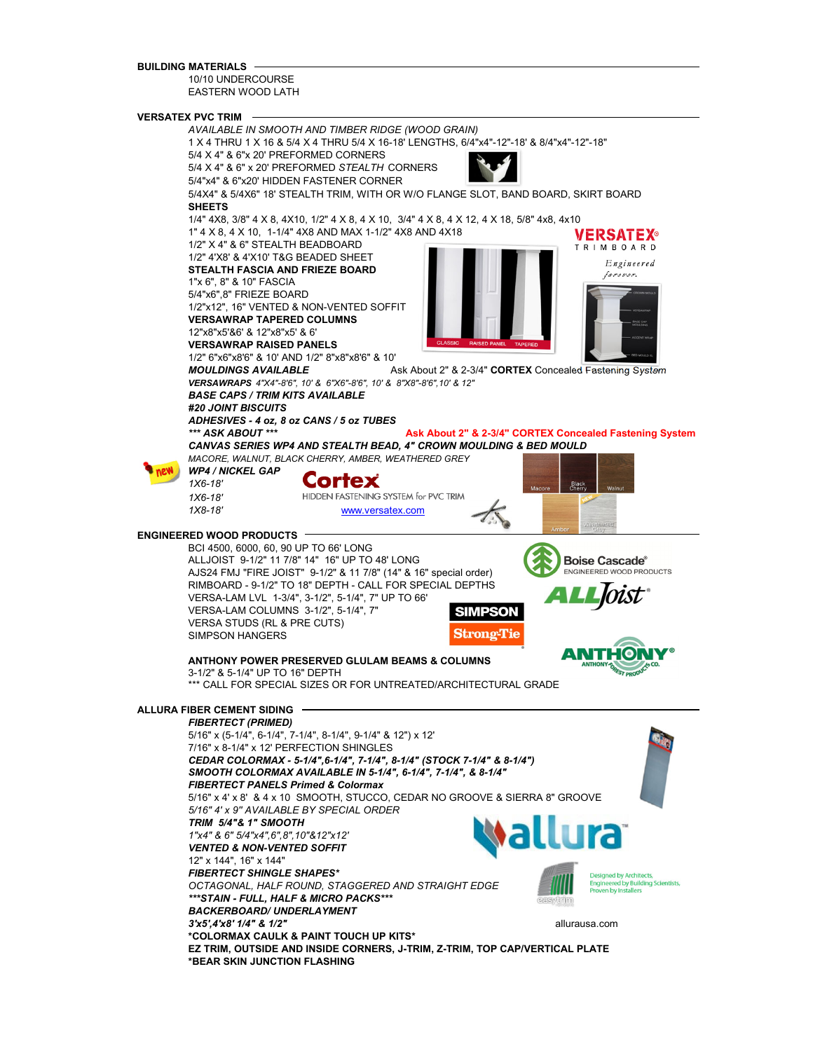#### **BUILDING MATERIALS**

10/10 UNDERCOURSE EASTERN WOOD LATH

#### **VERSATEX PVC TRIM**

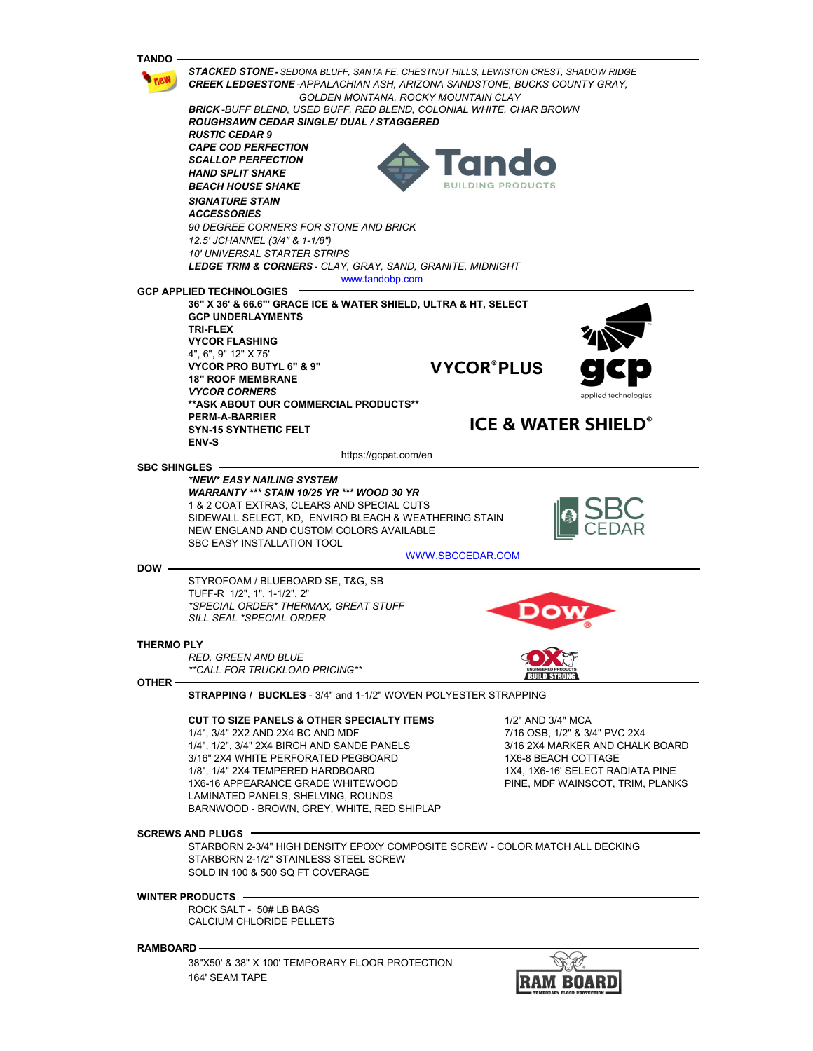